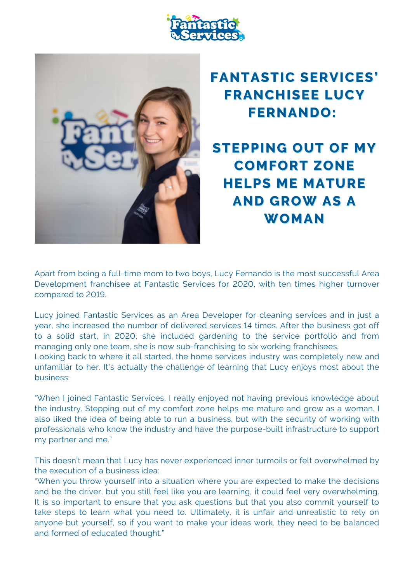



## **FANTASTIC SERVICES' FRANCHISEE LUCY FERNANDO:**

**STEPPING OUT OF MY COMFORT ZONE HELPS ME MATURE AND GROW AS A** WOMAN

Apart from being a full-time mom to two boys, Lucy Fernando is the most successful Area Development franchisee at Fantastic Services for 2020, with ten times higher turnover compared to 2019.

Lucy joined Fantastic Services as an Area Developer for cleaning services and in just a year, she increased the number of delivered services 14 times. After the business got off to a solid start, in 2020, she included gardening to the service portfolio and from managing only one team, she is now sub-franchising to six working franchisees.

Looking back to where it all started, the home services industry was completely new and unfamiliar to her. It's actually the challenge of learning that Lucy enjoys most about the business:

"When I joined Fantastic Services, I really enjoyed not having previous knowledge about the industry. Stepping out of my comfort zone helps me mature and grow as a woman. I also liked the idea of being able to run a business, but with the security of working with professionals who know the industry and have the purpose-built infrastructure to support my partner and me."

This doesn't mean that Lucy has never experienced inner turmoils or felt overwhelmed by the execution of a business idea:

"When you throw yourself into a situation where you are expected to make the decisions and be the driver, but you still feel like you are learning, it could feel very overwhelming. It is so important to ensure that you ask questions but that you also commit yourself to take steps to learn what you need to. Ultimately, it is unfair and unrealistic to rely on anyone but yourself, so if you want to make your ideas work, they need to be balanced and formed of educated thought."